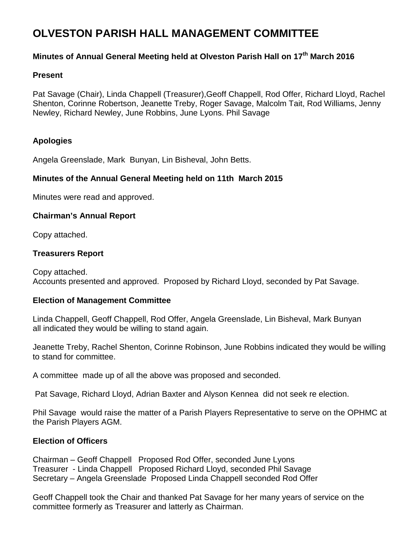# **OLVESTON PARISH HALL MANAGEMENT COMMITTEE**

# **Minutes of Annual General Meeting held at Olveston Parish Hall on 17th March 2016**

#### **Present**

Pat Savage (Chair), Linda Chappell (Treasurer),Geoff Chappell, Rod Offer, Richard Lloyd, Rachel Shenton, Corinne Robertson, Jeanette Treby, Roger Savage, Malcolm Tait, Rod Williams, Jenny Newley, Richard Newley, June Robbins, June Lyons. Phil Savage

#### **Apologies**

Angela Greenslade, Mark Bunyan, Lin Bisheval, John Betts.

### **Minutes of the Annual General Meeting held on 11th March 2015**

Minutes were read and approved.

#### **Chairman's Annual Report**

Copy attached.

#### **Treasurers Report**

Copy attached. Accounts presented and approved. Proposed by Richard Lloyd, seconded by Pat Savage.

#### **Election of Management Committee**

Linda Chappell, Geoff Chappell, Rod Offer, Angela Greenslade, Lin Bisheval, Mark Bunyan all indicated they would be willing to stand again.

Jeanette Treby, Rachel Shenton, Corinne Robinson, June Robbins indicated they would be willing to stand for committee.

A committee made up of all the above was proposed and seconded.

Pat Savage, Richard Lloyd, Adrian Baxter and Alyson Kennea did not seek re election.

Phil Savage would raise the matter of a Parish Players Representative to serve on the OPHMC at the Parish Players AGM.

#### **Election of Officers**

Chairman – Geoff Chappell Proposed Rod Offer, seconded June Lyons Treasurer - Linda Chappell Proposed Richard Lloyd, seconded Phil Savage Secretary – Angela Greenslade Proposed Linda Chappell seconded Rod Offer

Geoff Chappell took the Chair and thanked Pat Savage for her many years of service on the committee formerly as Treasurer and latterly as Chairman.